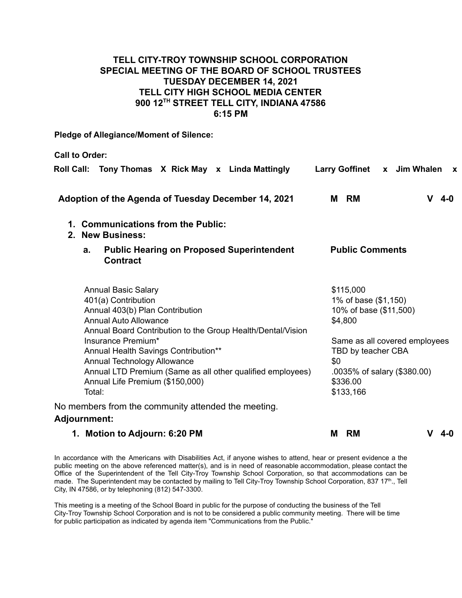## **TELL CITY-TROY TOWNSHIP SCHOOL CORPORATION SPECIAL MEETING OF THE BOARD OF SCHOOL TRUSTEES TUESDAY DECEMBER 14, 2021 TELL CITY HIGH SCHOOL MEDIA CENTER 900 12TH STREET TELL CITY, INDIANA 47586 6:15 PM**

**Pledge of Allegiance/Moment of Silence:**

**Call to Order:**

| Roll Call: Tony Thomas X Rick May x Linda Mattingly                                                                            | Larry Goffinet x Jim Whalen<br>$\mathbf{x}$                |
|--------------------------------------------------------------------------------------------------------------------------------|------------------------------------------------------------|
| Adoption of the Agenda of Tuesday December 14, 2021                                                                            | M RM<br>$V$ 4-0                                            |
| 1. Communications from the Public:<br>2. New Business:                                                                         |                                                            |
| <b>Public Hearing on Proposed Superintendent</b><br>a.<br><b>Contract</b>                                                      | <b>Public Comments</b>                                     |
| <b>Annual Basic Salary</b><br>401(a) Contribution                                                                              | \$115,000<br>1% of base (\$1,150)                          |
| Annual 403(b) Plan Contribution<br><b>Annual Auto Allowance</b><br>Annual Board Contribution to the Group Health/Dental/Vision | 10% of base (\$11,500)<br>\$4,800                          |
| Insurance Premium*<br>Annual Health Savings Contribution**<br>Annual Technology Allowance                                      | Same as all covered employees<br>TBD by teacher CBA<br>\$0 |
| Annual LTD Premium (Same as all other qualified employees)<br>Annual Life Premium (\$150,000)<br>Total:                        | .0035% of salary (\$380.00)<br>\$336.00<br>\$133,166       |
| No members from the community attended the meeting.<br><b>Adjournment:</b>                                                     |                                                            |
| 1. Motion to Adjourn: 6:20 PM                                                                                                  | M RM<br>V 4-0                                              |

In accordance with the Americans with Disabilities Act, if anyone wishes to attend, hear or present evidence a the public meeting on the above referenced matter(s), and is in need of reasonable accommodation, please contact the Office of the Superintendent of the Tell City-Troy Township School Corporation, so that accommodations can be made. The Superintendent may be contacted by mailing to Tell City-Troy Township School Corporation, 837 17<sup>th</sup>., Tell City, IN 47586, or by telephoning (812) 547-3300.

This meeting is a meeting of the School Board in public for the purpose of conducting the business of the Tell City-Troy Township School Corporation and is not to be considered a public community meeting. There will be time for public participation as indicated by agenda item "Communications from the Public."